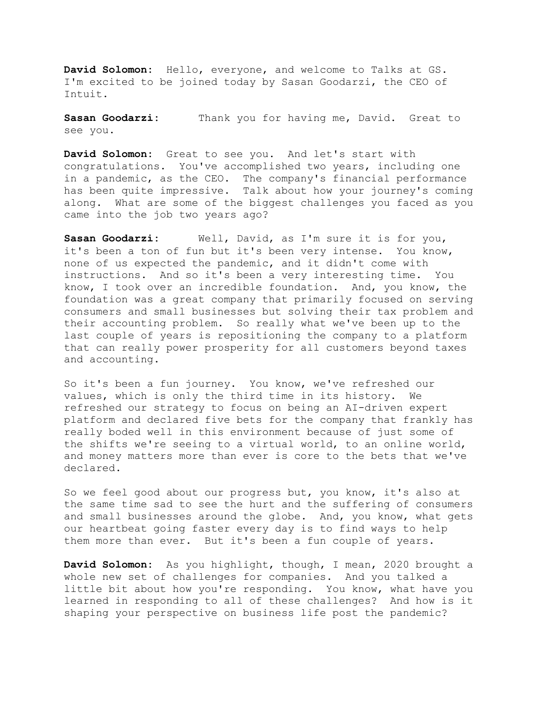**David Solomon:** Hello, everyone, and welcome to Talks at GS. I'm excited to be joined today by Sasan Goodarzi, the CEO of Intuit.

**Sasan Goodarzi:** Thank you for having me, David. Great to see you.

**David Solomon:** Great to see you. And let's start with congratulations. You've accomplished two years, including one in a pandemic, as the CEO. The company's financial performance has been quite impressive. Talk about how your journey's coming along. What are some of the biggest challenges you faced as you came into the job two years ago?

**Sasan Goodarzi:** Well, David, as I'm sure it is for you, it's been a ton of fun but it's been very intense. You know, none of us expected the pandemic, and it didn't come with instructions. And so it's been a very interesting time. You know, I took over an incredible foundation. And, you know, the foundation was a great company that primarily focused on serving consumers and small businesses but solving their tax problem and their accounting problem. So really what we've been up to the last couple of years is repositioning the company to a platform that can really power prosperity for all customers beyond taxes and accounting.

So it's been a fun journey. You know, we've refreshed our values, which is only the third time in its history. We refreshed our strategy to focus on being an AI-driven expert platform and declared five bets for the company that frankly has really boded well in this environment because of just some of the shifts we're seeing to a virtual world, to an online world, and money matters more than ever is core to the bets that we've declared.

So we feel good about our progress but, you know, it's also at the same time sad to see the hurt and the suffering of consumers and small businesses around the globe. And, you know, what gets our heartbeat going faster every day is to find ways to help them more than ever. But it's been a fun couple of years.

**David Solomon:** As you highlight, though, I mean, 2020 brought a whole new set of challenges for companies. And you talked a little bit about how you're responding. You know, what have you learned in responding to all of these challenges? And how is it shaping your perspective on business life post the pandemic?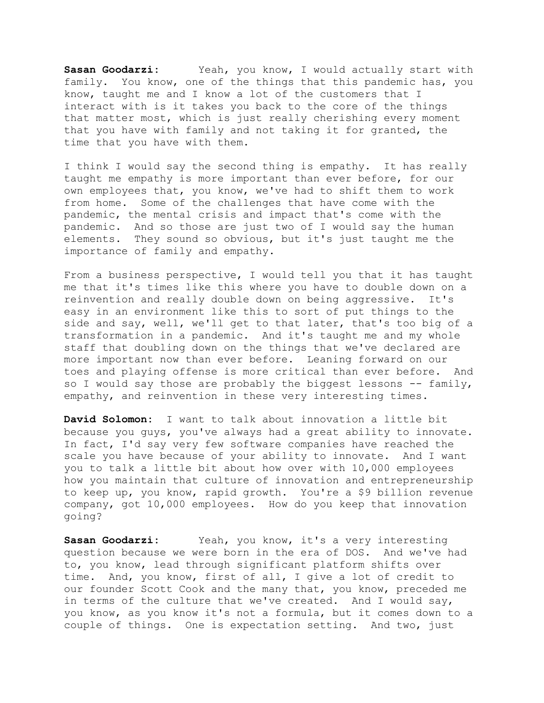Sasan Goodarzi: Yeah, you know, I would actually start with family. You know, one of the things that this pandemic has, you know, taught me and I know a lot of the customers that I interact with is it takes you back to the core of the things that matter most, which is just really cherishing every moment that you have with family and not taking it for granted, the time that you have with them.

I think I would say the second thing is empathy. It has really taught me empathy is more important than ever before, for our own employees that, you know, we've had to shift them to work from home. Some of the challenges that have come with the pandemic, the mental crisis and impact that's come with the pandemic. And so those are just two of I would say the human elements. They sound so obvious, but it's just taught me the importance of family and empathy.

From a business perspective, I would tell you that it has taught me that it's times like this where you have to double down on a reinvention and really double down on being aggressive. It's easy in an environment like this to sort of put things to the side and say, well, we'll get to that later, that's too big of a transformation in a pandemic. And it's taught me and my whole staff that doubling down on the things that we've declared are more important now than ever before. Leaning forward on our toes and playing offense is more critical than ever before. And so I would say those are probably the biggest lessons -- family, empathy, and reinvention in these very interesting times.

**David Solomon:** I want to talk about innovation a little bit because you guys, you've always had a great ability to innovate. In fact, I'd say very few software companies have reached the scale you have because of your ability to innovate. And I want you to talk a little bit about how over with 10,000 employees how you maintain that culture of innovation and entrepreneurship to keep up, you know, rapid growth. You're a \$9 billion revenue company, got 10,000 employees. How do you keep that innovation going?

**Sasan Goodarzi:** Yeah, you know, it's a very interesting question because we were born in the era of DOS. And we've had to, you know, lead through significant platform shifts over time. And, you know, first of all, I give a lot of credit to our founder Scott Cook and the many that, you know, preceded me in terms of the culture that we've created. And I would say, you know, as you know it's not a formula, but it comes down to a couple of things. One is expectation setting. And two, just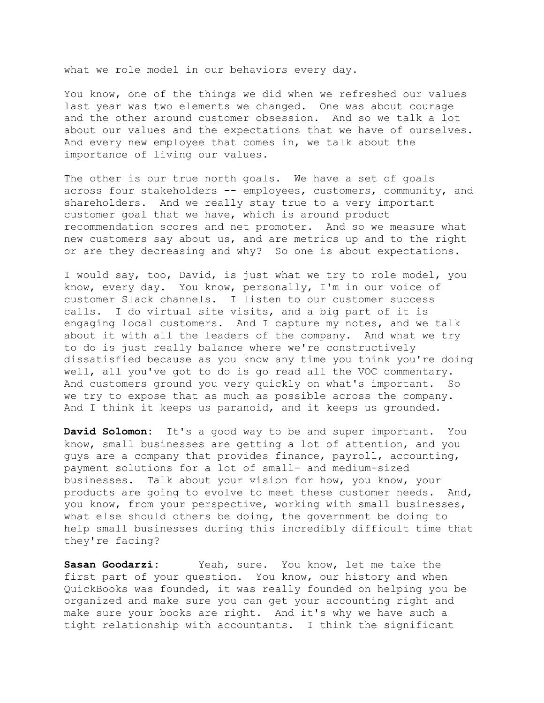what we role model in our behaviors every day.

You know, one of the things we did when we refreshed our values last year was two elements we changed. One was about courage and the other around customer obsession. And so we talk a lot about our values and the expectations that we have of ourselves. And every new employee that comes in, we talk about the importance of living our values.

The other is our true north goals. We have a set of goals across four stakeholders -- employees, customers, community, and shareholders. And we really stay true to a very important customer goal that we have, which is around product recommendation scores and net promoter. And so we measure what new customers say about us, and are metrics up and to the right or are they decreasing and why? So one is about expectations.

I would say, too, David, is just what we try to role model, you know, every day. You know, personally, I'm in our voice of customer Slack channels. I listen to our customer success calls. I do virtual site visits, and a big part of it is engaging local customers. And I capture my notes, and we talk about it with all the leaders of the company. And what we try to do is just really balance where we're constructively dissatisfied because as you know any time you think you're doing well, all you've got to do is go read all the VOC commentary. And customers ground you very quickly on what's important. So we try to expose that as much as possible across the company. And I think it keeps us paranoid, and it keeps us grounded.

**David Solomon:** It's a good way to be and super important. You know, small businesses are getting a lot of attention, and you guys are a company that provides finance, payroll, accounting, payment solutions for a lot of small- and medium-sized businesses. Talk about your vision for how, you know, your products are going to evolve to meet these customer needs. And, you know, from your perspective, working with small businesses, what else should others be doing, the government be doing to help small businesses during this incredibly difficult time that they're facing?

**Sasan Goodarzi:** Yeah, sure. You know, let me take the first part of your question. You know, our history and when QuickBooks was founded, it was really founded on helping you be organized and make sure you can get your accounting right and make sure your books are right. And it's why we have such a tight relationship with accountants. I think the significant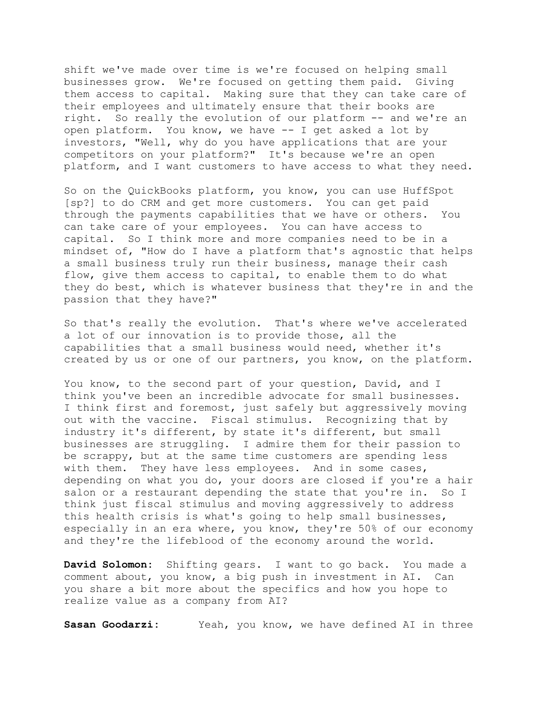shift we've made over time is we're focused on helping small businesses grow. We're focused on getting them paid. Giving them access to capital. Making sure that they can take care of their employees and ultimately ensure that their books are right. So really the evolution of our platform -- and we're an open platform. You know, we have -- I get asked a lot by investors, "Well, why do you have applications that are your competitors on your platform?" It's because we're an open platform, and I want customers to have access to what they need.

So on the QuickBooks platform, you know, you can use HuffSpot [sp?] to do CRM and get more customers. You can get paid through the payments capabilities that we have or others. You can take care of your employees. You can have access to capital. So I think more and more companies need to be in a mindset of, "How do I have a platform that's agnostic that helps a small business truly run their business, manage their cash flow, give them access to capital, to enable them to do what they do best, which is whatever business that they're in and the passion that they have?"

So that's really the evolution. That's where we've accelerated a lot of our innovation is to provide those, all the capabilities that a small business would need, whether it's created by us or one of our partners, you know, on the platform.

You know, to the second part of your question, David, and I think you've been an incredible advocate for small businesses. I think first and foremost, just safely but aggressively moving out with the vaccine. Fiscal stimulus. Recognizing that by industry it's different, by state it's different, but small businesses are struggling. I admire them for their passion to be scrappy, but at the same time customers are spending less with them. They have less employees. And in some cases, depending on what you do, your doors are closed if you're a hair salon or a restaurant depending the state that you're in. So I think just fiscal stimulus and moving aggressively to address this health crisis is what's going to help small businesses, especially in an era where, you know, they're 50% of our economy and they're the lifeblood of the economy around the world.

**David Solomon:** Shifting gears. I want to go back. You made a comment about, you know, a big push in investment in AI. Can you share a bit more about the specifics and how you hope to realize value as a company from AI?

**Sasan Goodarzi:** Yeah, you know, we have defined AI in three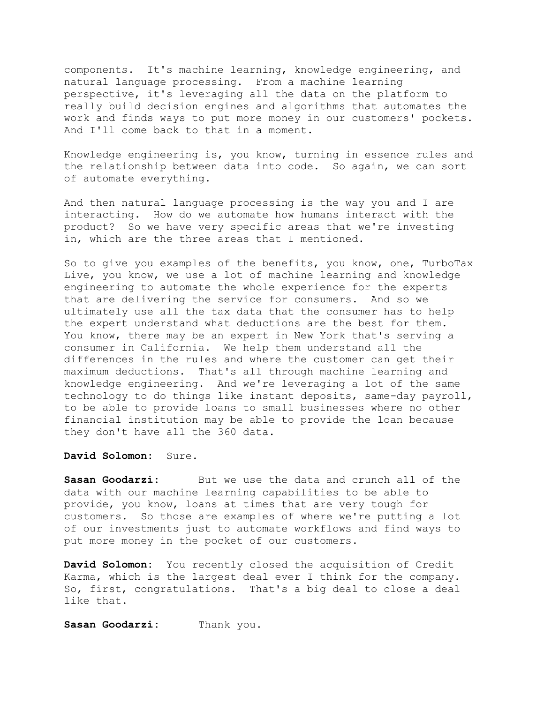components. It's machine learning, knowledge engineering, and natural language processing. From a machine learning perspective, it's leveraging all the data on the platform to really build decision engines and algorithms that automates the work and finds ways to put more money in our customers' pockets. And I'll come back to that in a moment.

Knowledge engineering is, you know, turning in essence rules and the relationship between data into code. So again, we can sort of automate everything.

And then natural language processing is the way you and I are interacting. How do we automate how humans interact with the product? So we have very specific areas that we're investing in, which are the three areas that I mentioned.

So to give you examples of the benefits, you know, one, TurboTax Live, you know, we use a lot of machine learning and knowledge engineering to automate the whole experience for the experts that are delivering the service for consumers. And so we ultimately use all the tax data that the consumer has to help the expert understand what deductions are the best for them. You know, there may be an expert in New York that's serving a consumer in California. We help them understand all the differences in the rules and where the customer can get their maximum deductions. That's all through machine learning and knowledge engineering. And we're leveraging a lot of the same technology to do things like instant deposits, same-day payroll, to be able to provide loans to small businesses where no other financial institution may be able to provide the loan because they don't have all the 360 data.

## **David Solomon:** Sure.

**Sasan Goodarzi:** But we use the data and crunch all of the data with our machine learning capabilities to be able to provide, you know, loans at times that are very tough for customers. So those are examples of where we're putting a lot of our investments just to automate workflows and find ways to put more money in the pocket of our customers.

**David Solomon:** You recently closed the acquisition of Credit Karma, which is the largest deal ever I think for the company. So, first, congratulations. That's a big deal to close a deal like that.

Sasan Goodarzi: Thank you.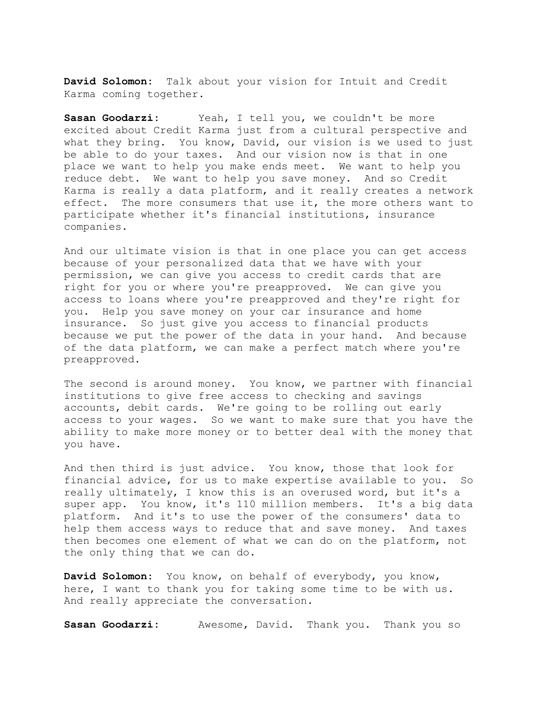**David Solomon:** Talk about your vision for Intuit and Credit Karma coming together.

Sasan Goodarzi: Yeah, I tell you, we couldn't be more excited about Credit Karma just from a cultural perspective and what they bring. You know, David, our vision is we used to just be able to do your taxes. And our vision now is that in one place we want to help you make ends meet. We want to help you reduce debt. We want to help you save money. And so Credit Karma is really a data platform, and it really creates a network effect. The more consumers that use it, the more others want to participate whether it's financial institutions, insurance companies.

And our ultimate vision is that in one place you can get access because of your personalized data that we have with your permission, we can give you access to credit cards that are right for you or where you're preapproved. We can give you access to loans where you're preapproved and they're right for you. Help you save money on your car insurance and home insurance. So just give you access to financial products because we put the power of the data in your hand. And because of the data platform, we can make a perfect match where you're preapproved.

The second is around money. You know, we partner with financial institutions to give free access to checking and savings accounts, debit cards. We're going to be rolling out early access to your wages. So we want to make sure that you have the ability to make more money or to better deal with the money that you have.

 help them access ways to reduce that and save money. And taxes And then third is just advice. You know, those that look for financial advice, for us to make expertise available to you. So really ultimately, I know this is an overused word, but it's a super app. You know, it's 110 million members. It's a big data platform. And it's to use the power of the consumers' data to then becomes one element of what we can do on the platform, not the only thing that we can do.

**David Solomon:** You know, on behalf of everybody, you know, here, I want to thank you for taking some time to be with us. And really appreciate the conversation.

**Sasan Goodarzi:** Awesome, David. Thank you. Thank you so